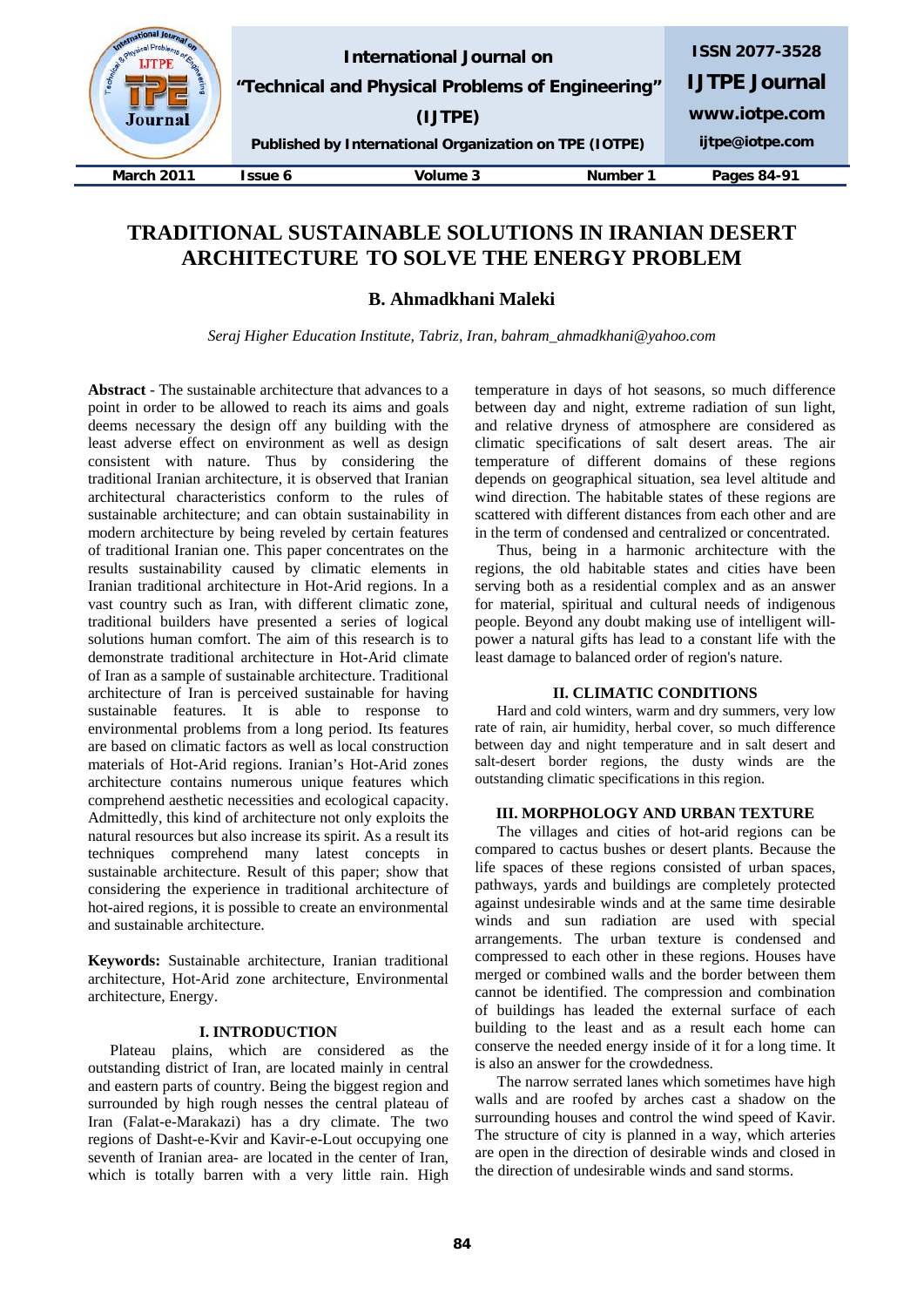| Journal           |         | International Journal on<br>"Technical and Physical Problems of Engineering"<br>(IJTPE)<br>Published by International Organization on TPE (IOTPE) |          | <b>ISSN 2077-3528</b><br><b>IJTPE Journal</b><br>www.iotpe.com<br>ijtpe@iotpe.com |
|-------------------|---------|---------------------------------------------------------------------------------------------------------------------------------------------------|----------|-----------------------------------------------------------------------------------|
| <b>March 2011</b> | Issue 6 | Volume 3                                                                                                                                          | Number 1 | Pages 84-91                                                                       |
|                   |         |                                                                                                                                                   |          |                                                                                   |

# **TRADITIONAL SUSTAINABLE SOLUTIONS IN IRANIAN DESERT ARCHITECTURE TO SOLVE THE ENERGY PROBLEM**

**B. Ahmadkhani Maleki**

*Seraj Higher Education Institute, Tabriz, Iran, bahram\_ahmadkhani@yahoo.com*

**Abstract** - The sustainable architecture that advances to a point in order to be allowed to reach its aims and goals deems necessary the design off any building with the least adverse effect on environment as well as design consistent with nature. Thus by considering the traditional Iranian architecture, it is observed that Iranian architectural characteristics conform to the rules of sustainable architecture; and can obtain sustainability in modern architecture by being reveled by certain features of traditional Iranian one. This paper concentrates on the results sustainability caused by climatic elements in Iranian traditional architecture in Hot-Arid regions. In a vast country such as Iran, with different climatic zone, traditional builders have presented a series of logical solutions human comfort. The aim of this research is to demonstrate traditional architecture in Hot-Arid climate of Iran as a sample of sustainable architecture. Traditional architecture of Iran is perceived sustainable for having sustainable features. It is able to response to environmental problems from a long period. Its features are based on climatic factors as well as local construction materials of Hot-Arid regions. Iranian's Hot-Arid zones architecture contains numerous unique features which comprehend aesthetic necessities and ecological capacity. Admittedly, this kind of architecture not only exploits the natural resources but also increase its spirit. As a result its techniques comprehend many latest concepts in sustainable architecture. Result of this paper; show that considering the experience in traditional architecture of hot-aired regions, it is possible to create an environmental and sustainable architecture.

**Keywords:** Sustainable architecture, Iranian traditional architecture, Hot-Arid zone architecture, Environmental architecture, Energy.

# **I. INTRODUCTION**

Plateau plains, which are considered as the outstanding district of Iran, are located mainly in central and eastern parts of country. Being the biggest region and surrounded by high rough nesses the central plateau of Iran (Falat-e-Marakazi) has a dry climate. The two regions of Dasht-e-Kvir and Kavir-e-Lout occupying one seventh of Iranian area- are located in the center of Iran, which is totally barren with a very little rain. High

temperature in days of hot seasons, so much difference between day and night, extreme radiation of sun light, and relative dryness of atmosphere are considered as climatic specifications of salt desert areas. The air temperature of different domains of these regions depends on geographical situation, sea level altitude and wind direction. The habitable states of these regions are scattered with different distances from each other and are in the term of condensed and centralized or concentrated.

Thus, being in a harmonic architecture with the regions, the old habitable states and cities have been serving both as a residential complex and as an answer for material, spiritual and cultural needs of indigenous people. Beyond any doubt making use of intelligent willpower a natural gifts has lead to a constant life with the least damage to balanced order of region's nature.

# **II. CLIMATIC CONDITIONS**

Hard and cold winters, warm and dry summers, very low rate of rain, air humidity, herbal cover, so much difference between day and night temperature and in salt desert and salt-desert border regions, the dusty winds are the outstanding climatic specifications in this region.

### **III. MORPHOLOGY AND URBAN TEXTURE**

The villages and cities of hot-arid regions can be compared to cactus bushes or desert plants. Because the life spaces of these regions consisted of urban spaces, pathways, yards and buildings are completely protected against undesirable winds and at the same time desirable winds and sun radiation are used with special arrangements. The urban texture is condensed and compressed to each other in these regions. Houses have merged or combined walls and the border between them cannot be identified. The compression and combination of buildings has leaded the external surface of each building to the least and as a result each home can conserve the needed energy inside of it for a long time. It is also an answer for the crowdedness.

The narrow serrated lanes which sometimes have high walls and are roofed by arches cast a shadow on the surrounding houses and control the wind speed of Kavir. The structure of city is planned in a way, which arteries are open in the direction of desirable winds and closed in the direction of undesirable winds and sand storms.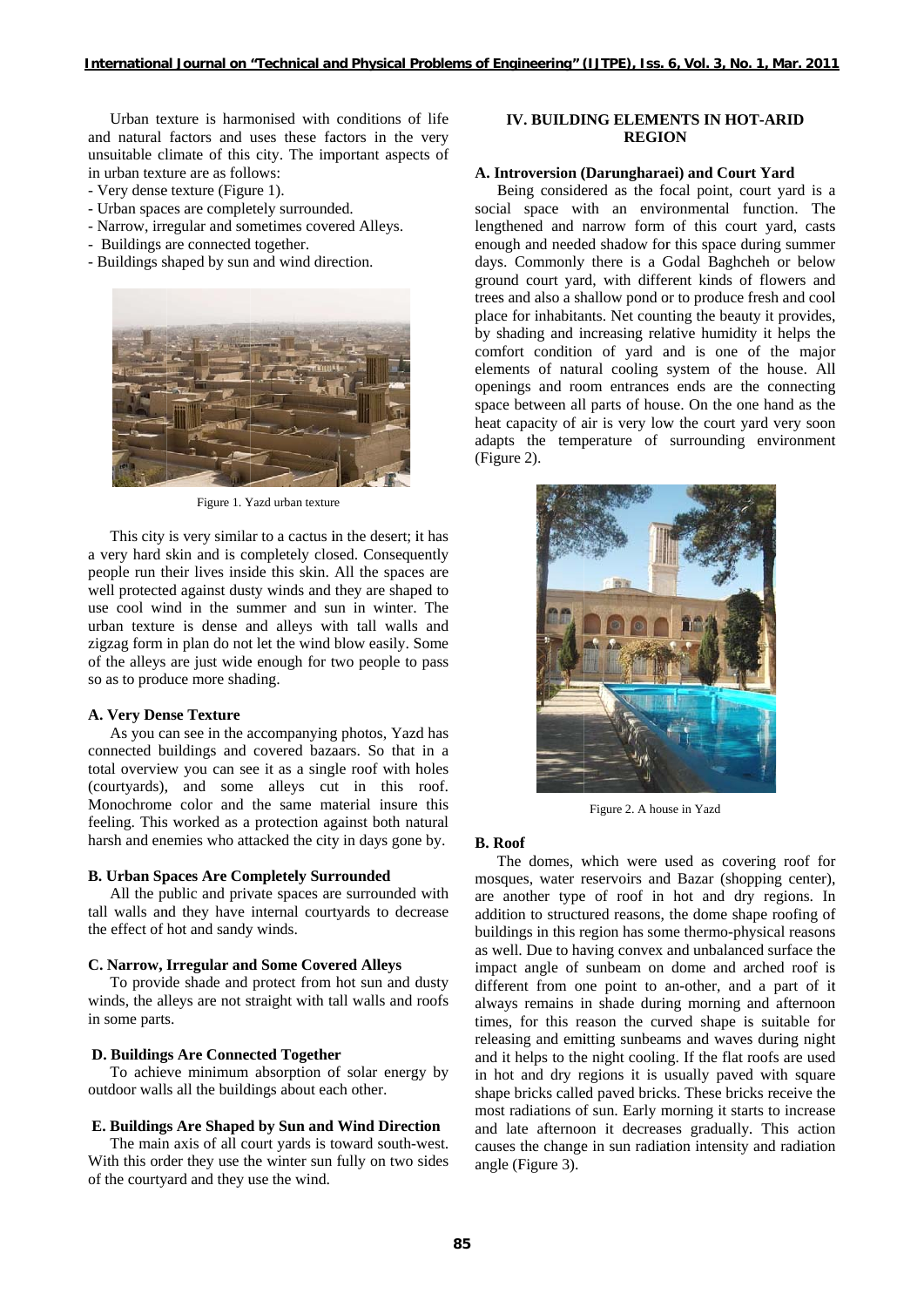Urban texture is harmonised with conditions of life and natural factors and uses these factors in the very unsuitable climate of this city. The important aspects of in urban texture are as follows:

- Very dense texture (Figure 1).
- Urban spaces are completely surrounded.
- Narrow, irregular and sometimes covered Alleys.
- Buildings are connected together.
- Buildings shaped by sun and wind direction.



Figure 1. Yazd urban texture

This city is very similar to a cactus in the desert; it has a very hard skin and is completely closed. Consequently people run their lives inside this skin. All the spaces are well protected against dusty winds and they are shaped to use cool wind in the summer and sun in winter. The urban texture is dense and alleys with tall walls and zigzag form in plan do not let the wind blow easily. Some of the alleys are just wide enough for two people to pass so as to produce more shading.

#### **A. Very Dense Texture**

As you can see in the accompanying photos, Yazd has connected buildings and covered bazaars. So that in a total overview you can see it as a single roof with holes (courtyards), and some alleys cut in this roof. Monochrome color and the same material insure this feeling. This worked as a protection against both natural harsh and enemies who attacked the city in days gone by.

### **B. Urban Spaces Are Completely Surrounded**

All the public and private spaces are surrounded with tall walls and they have internal courtyards to decrease the effect of hot and sandy winds.

#### C. Narrow, Irregular and Some Covered Alleys

To provide shade and protect from hot sun and dusty winds, the alleys are not straight with tall walls and roofs in some parts.

#### **D. Buildings Are Connected Together**

To achieve minimum absorption of solar energy by outdoor walls all the buildings about each other.

### E. Buildings Are Shaped by Sun and Wind Direction

The main axis of all court yards is toward south-west. With this order they use the winter sun fully on two sides of the courtyard and they use the wind.

### **IV. BUILDING ELEMENTS IN HOT-ARID REGION**

### A. Introversion (Darungharaei) and Court Yard

Being considered as the focal point, court yard is a social space with an environmental function. The lengthened and narrow form of this court yard, casts enough and needed shadow for this space during summer days. Commonly there is a Godal Baghcheh or below ground court yard, with different kinds of flowers and trees and also a shallow pond or to produce fresh and cool place for inhabitants. Net counting the beauty it provides, by shading and increasing relative humidity it helps the comfort condition of yard and is one of the major elements of natural cooling system of the house. All openings and room entrances ends are the connecting space between all parts of house. On the one hand as the heat capacity of air is very low the court yard very soon adapts the temperature of surrounding environment (Figure 2).



Figure 2. A house in Yazd

### **B.** Roof

The domes, which were used as covering roof for mosques, water reservoirs and Bazar (shopping center), are another type of roof in hot and dry regions. In addition to structured reasons, the dome shape roofing of buildings in this region has some thermo-physical reasons as well. Due to having convex and unbalanced surface the impact angle of sunbeam on dome and arched roof is different from one point to an-other, and a part of it always remains in shade during morning and afternoon times, for this reason the curved shape is suitable for releasing and emitting sunbeams and waves during night and it helps to the night cooling. If the flat roofs are used in hot and dry regions it is usually paved with square shape bricks called paved bricks. These bricks receive the most radiations of sun. Early morning it starts to increase and late afternoon it decreases gradually. This action causes the change in sun radiation intensity and radiation angle (Figure 3).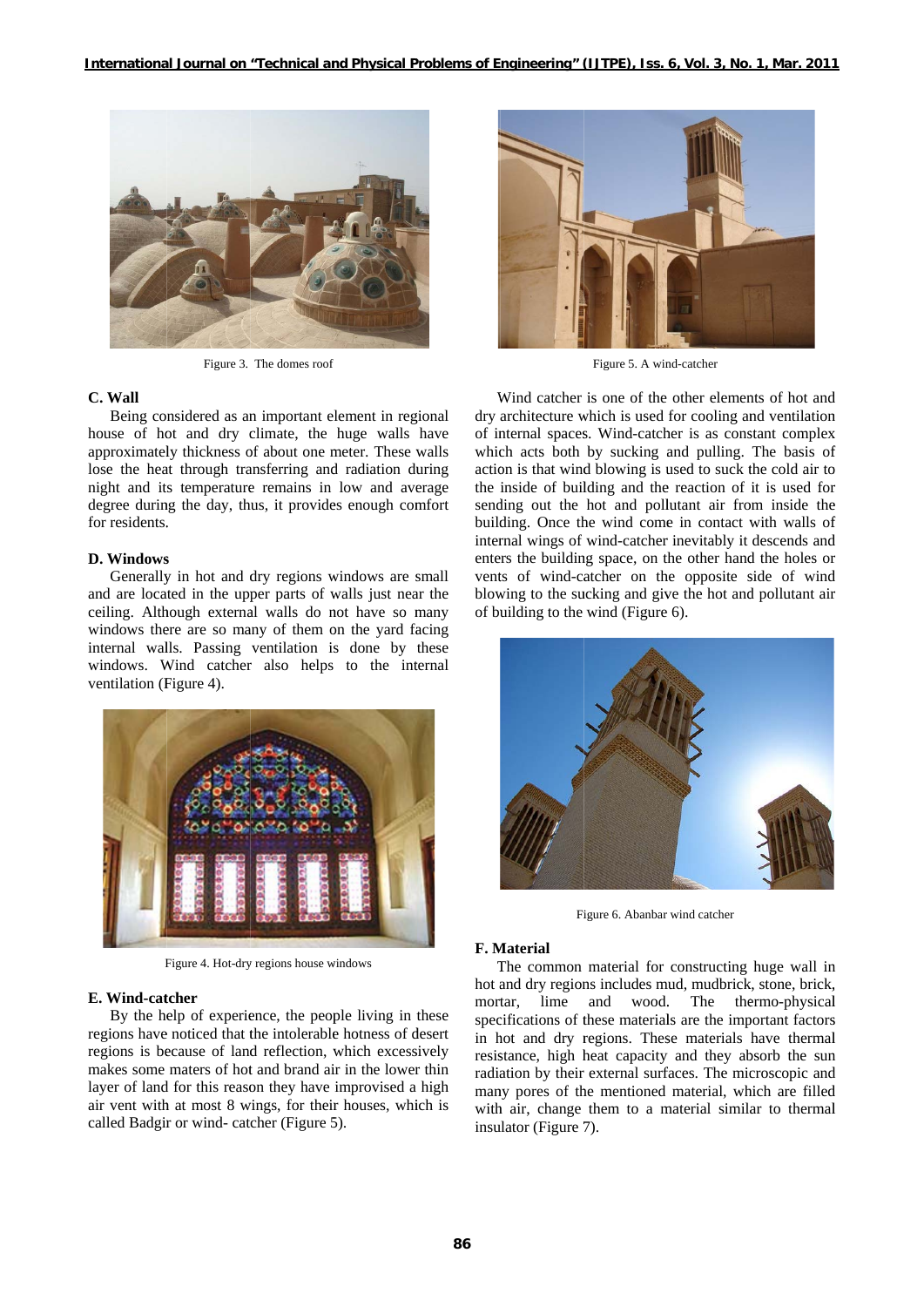

Figure 3. The domes roof

### C. Wall

Being considered as an important element in regional house of hot and dry climate, the huge walls have approximately thickness of about one meter. These walls lose the heat through transferring and radiation during night and its temperature remains in low and average degree during the day, thus, it provides enough comfort for residents.

#### D. Windows

Generally in hot and dry regions windows are small and are located in the upper parts of walls just near the ceiling. Although external walls do not have so many windows there are so many of them on the yard facing internal walls. Passing ventilation is done by these windows. Wind catcher also helps to the internal ventilation (Figure 4).



Figure 4. Hot-dry regions house windows

#### E. Wind-catcher

By the help of experience, the people living in these regions have noticed that the intolerable hotness of desert regions is because of land reflection, which excessively makes some maters of hot and brand air in the lower thin layer of land for this reason they have improvised a high air vent with at most 8 wings, for their houses, which is called Badgir or wind- catcher (Figure 5).



Figure 5. A wind-catcher

Wind catcher is one of the other elements of hot and dry architecture which is used for cooling and ventilation of internal spaces. Wind-catcher is as constant complex which acts both by sucking and pulling. The basis of action is that wind blowing is used to suck the cold air to the inside of building and the reaction of it is used for sending out the hot and pollutant air from inside the building. Once the wind come in contact with walls of internal wings of wind-catcher inevitably it descends and enters the building space, on the other hand the holes or vents of wind-catcher on the opposite side of wind blowing to the sucking and give the hot and pollutant air of building to the wind (Figure 6).



Figure 6. Abanbar wind catcher

#### **F.** Material

The common material for constructing huge wall in hot and dry regions includes mud, mudbrick, stone, brick, and wood. The thermo-physical mortar. lime specifications of these materials are the important factors in hot and dry regions. These materials have thermal resistance, high heat capacity and they absorb the sun radiation by their external surfaces. The microscopic and many pores of the mentioned material, which are filled with air, change them to a material similar to thermal insulator (Figure 7).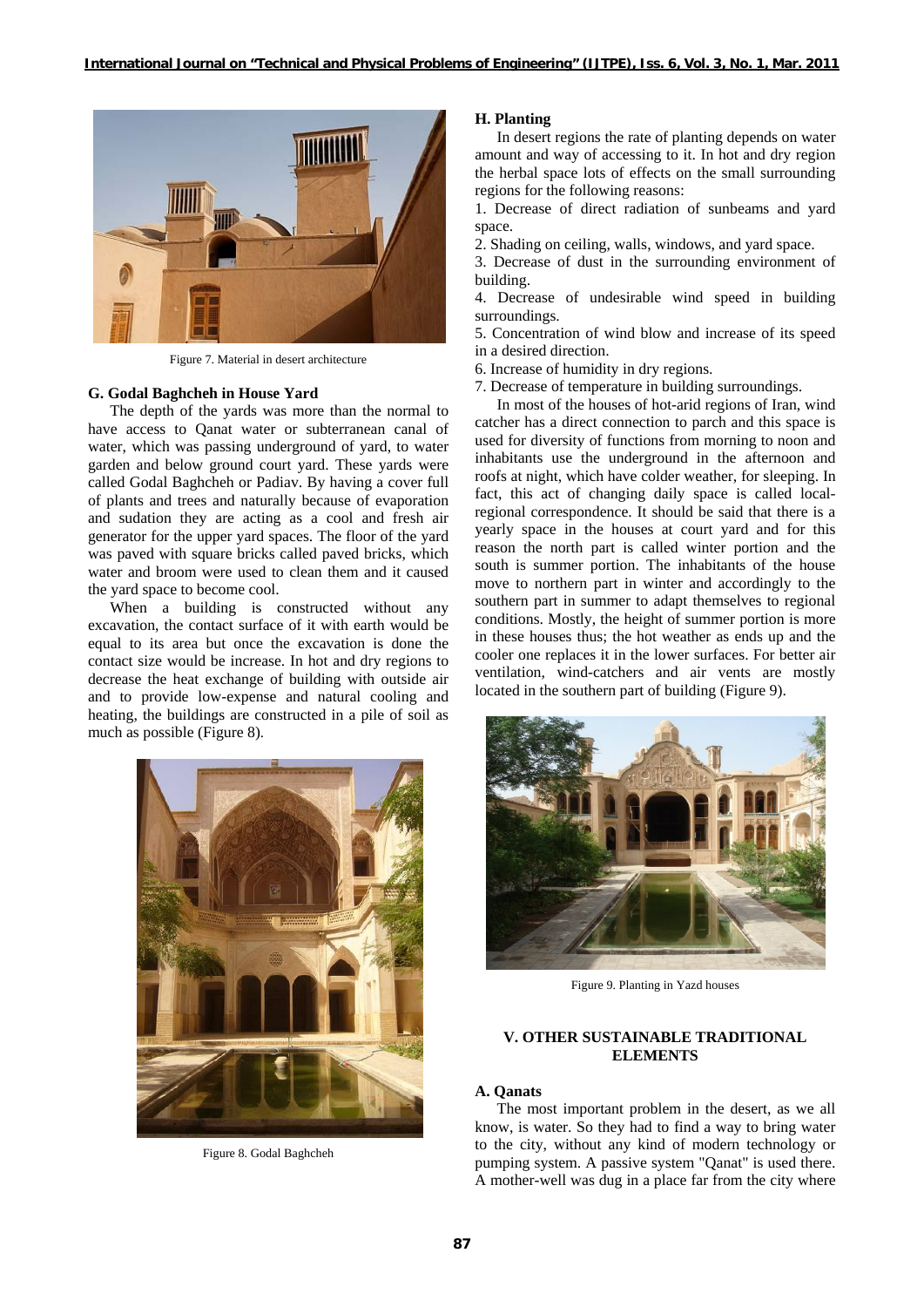

Figure 7. Material in desert architecture

#### **G. Godal Baghcheh in House Yard**

The depth of the yards was more than the normal to have access to Qanat water or subterranean canal of water, which was passing underground of yard, to water garden and below ground court yard. These yards were called Godal Baghcheh or Padiav. By having a cover full of plants and trees and naturally because of evaporation and sudation they are acting as a cool and fresh air generator for the upper yard spaces. The floor of the yard was paved with square bricks called paved bricks, which water and broom were used to clean them and it caused the yard space to become cool.

When a building is constructed without any excavation, the contact surface of it with earth would be equal to its area but once the excavation is done the contact size would be increase. In hot and dry regions to decrease the heat exchange of building with outside air and to provide low-expense and natural cooling and heating, the buildings are constructed in a pile of soil as much as possible (Figure 8).



Figure 8. Godal Baghcheh

### **H. Planting**

In desert regions the rate of planting depends on water amount and way of accessing to it. In hot and dry region the herbal space lots of effects on the small surrounding regions for the following reasons:

1. Decrease of direct radiation of sunbeams and yard space.

2. Shading on ceiling, walls, windows, and yard space.

3. Decrease of dust in the surrounding environment of building.

4. Decrease of undesirable wind speed in building surroundings.

5. Concentration of wind blow and increase of its speed in a desired direction.

6. Increase of humidity in dry regions.

7. Decrease of temperature in building surroundings.

In most of the houses of hot-arid regions of Iran, wind catcher has a direct connection to parch and this space is used for diversity of functions from morning to noon and inhabitants use the underground in the afternoon and roofs at night, which have colder weather, for sleeping. In fact, this act of changing daily space is called localregional correspondence. It should be said that there is a yearly space in the houses at court yard and for this reason the north part is called winter portion and the south is summer portion. The inhabitants of the house move to northern part in winter and accordingly to the southern part in summer to adapt themselves to regional conditions. Mostly, the height of summer portion is more in these houses thus; the hot weather as ends up and the cooler one replaces it in the lower surfaces. For better air ventilation, wind-catchers and air vents are mostly located in the southern part of building (Figure 9).



Figure 9. Planting in Yazd houses

### **V. OTHER SUSTAINABLE TRADITIONAL ELEMENTS**

# **A. Qanats**

The most important problem in the desert, as we all know, is water. So they had to find a way to bring water to the city, without any kind of modern technology or pumping system. A passive system "Qanat" is used there. A mother-well was dug in a place far from the city where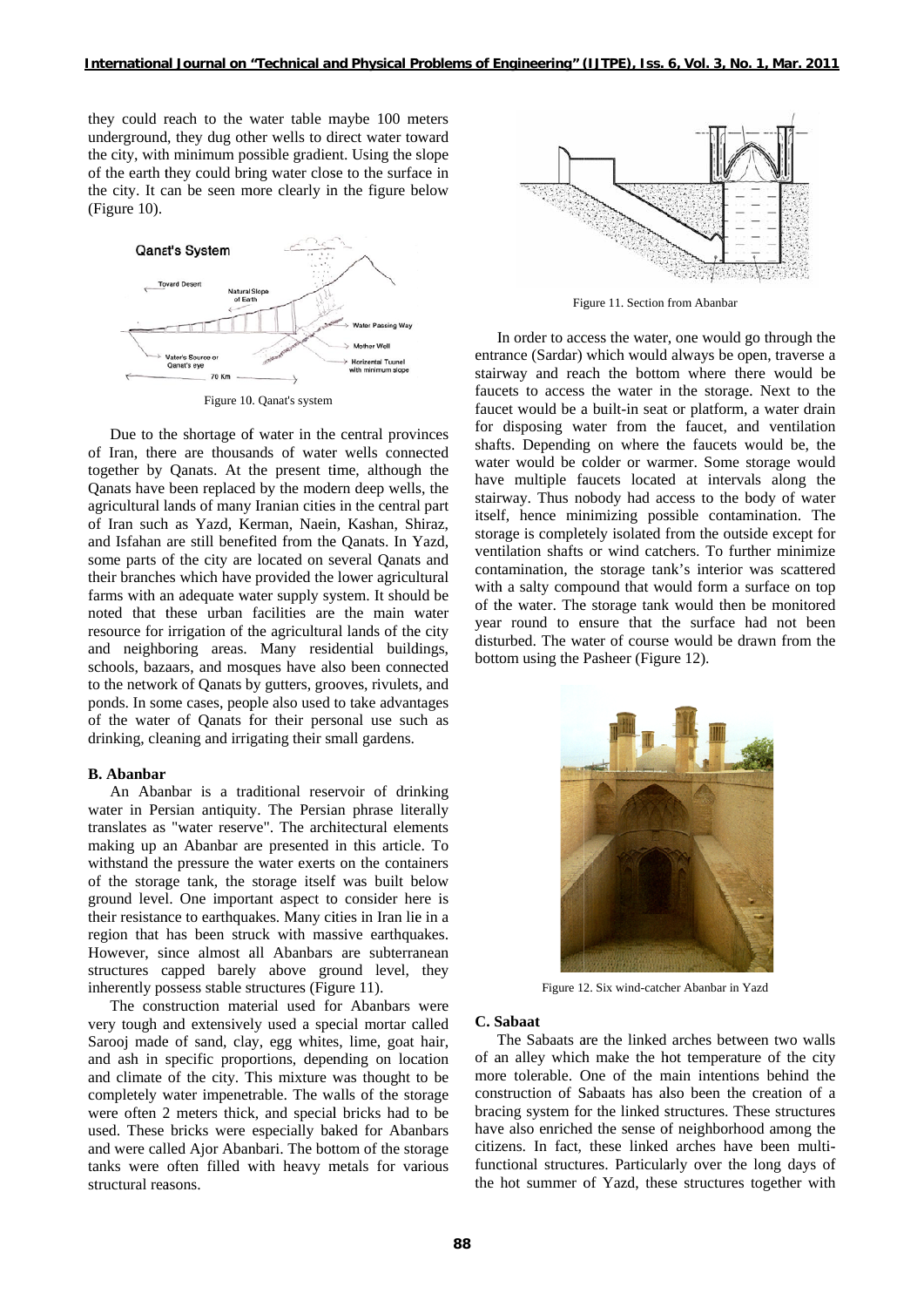they could reach to the water table maybe 100 meters underground, they dug other wells to direct water toward the city, with minimum possible gradient. Using the slope of the earth they could bring water close to the surface in the city. It can be seen more clearly in the figure below (Figure 10).



Figure 10. Qanat's system

Due to the shortage of water in the central provinces of Iran, there are thousands of water wells connected together by Oanats. At the present time, although the Oanats have been replaced by the modern deep wells, the agricultural lands of many Iranian cities in the central part of Iran such as Yazd, Kerman, Naein, Kashan, Shiraz, and Isfahan are still benefited from the Oanats. In Yazd, some parts of the city are located on several Qanats and their branches which have provided the lower agricultural farms with an adequate water supply system. It should be noted that these urban facilities are the main water resource for irrigation of the agricultural lands of the city and neighboring areas. Many residential buildings, schools, bazaars, and mosques have also been connected to the network of Qanats by gutters, grooves, rivulets, and ponds. In some cases, people also used to take advantages of the water of Qanats for their personal use such as drinking, cleaning and irrigating their small gardens.

#### **B.** Abanbar

An Abanbar is a traditional reservoir of drinking water in Persian antiquity. The Persian phrase literally translates as "water reserve". The architectural elements making up an Abanbar are presented in this article. To withstand the pressure the water exerts on the containers of the storage tank, the storage itself was built below ground level. One important aspect to consider here is their resistance to earthquakes. Many cities in Iran lie in a region that has been struck with massive earthquakes. However, since almost all Abanbars are subterranean structures capped barely above ground level, they inherently possess stable structures (Figure 11).

The construction material used for Abanbars were very tough and extensively used a special mortar called Sarooj made of sand, clay, egg whites, lime, goat hair, and ash in specific proportions, depending on location and climate of the city. This mixture was thought to be completely water impenetrable. The walls of the storage were often 2 meters thick, and special bricks had to be used. These bricks were especially baked for Abanbars and were called Ajor Abanbari. The bottom of the storage tanks were often filled with heavy metals for various structural reasons.



Figure 11. Section from Abanbar

In order to access the water, one would go through the entrance (Sardar) which would always be open, traverse a stairway and reach the bottom where there would be faucets to access the water in the storage. Next to the faucet would be a built-in seat or platform, a water drain for disposing water from the faucet, and ventilation shafts. Depending on where the faucets would be, the water would be colder or warmer. Some storage would have multiple faucets located at intervals along the stairway. Thus nobody had access to the body of water itself, hence minimizing possible contamination. The storage is completely isolated from the outside except for ventilation shafts or wind catchers. To further minimize contamination, the storage tank's interior was scattered with a salty compound that would form a surface on top of the water. The storage tank would then be monitored vear round to ensure that the surface had not been disturbed. The water of course would be drawn from the bottom using the Pasheer (Figure 12).



Figure 12. Six wind-catcher Abanbar in Yazd

#### C. Sabaat

The Sabaats are the linked arches between two walls of an alley which make the hot temperature of the city more tolerable. One of the main intentions behind the construction of Sabaats has also been the creation of a bracing system for the linked structures. These structures have also enriched the sense of neighborhood among the citizens. In fact, these linked arches have been multifunctional structures. Particularly over the long days of the hot summer of Yazd, these structures together with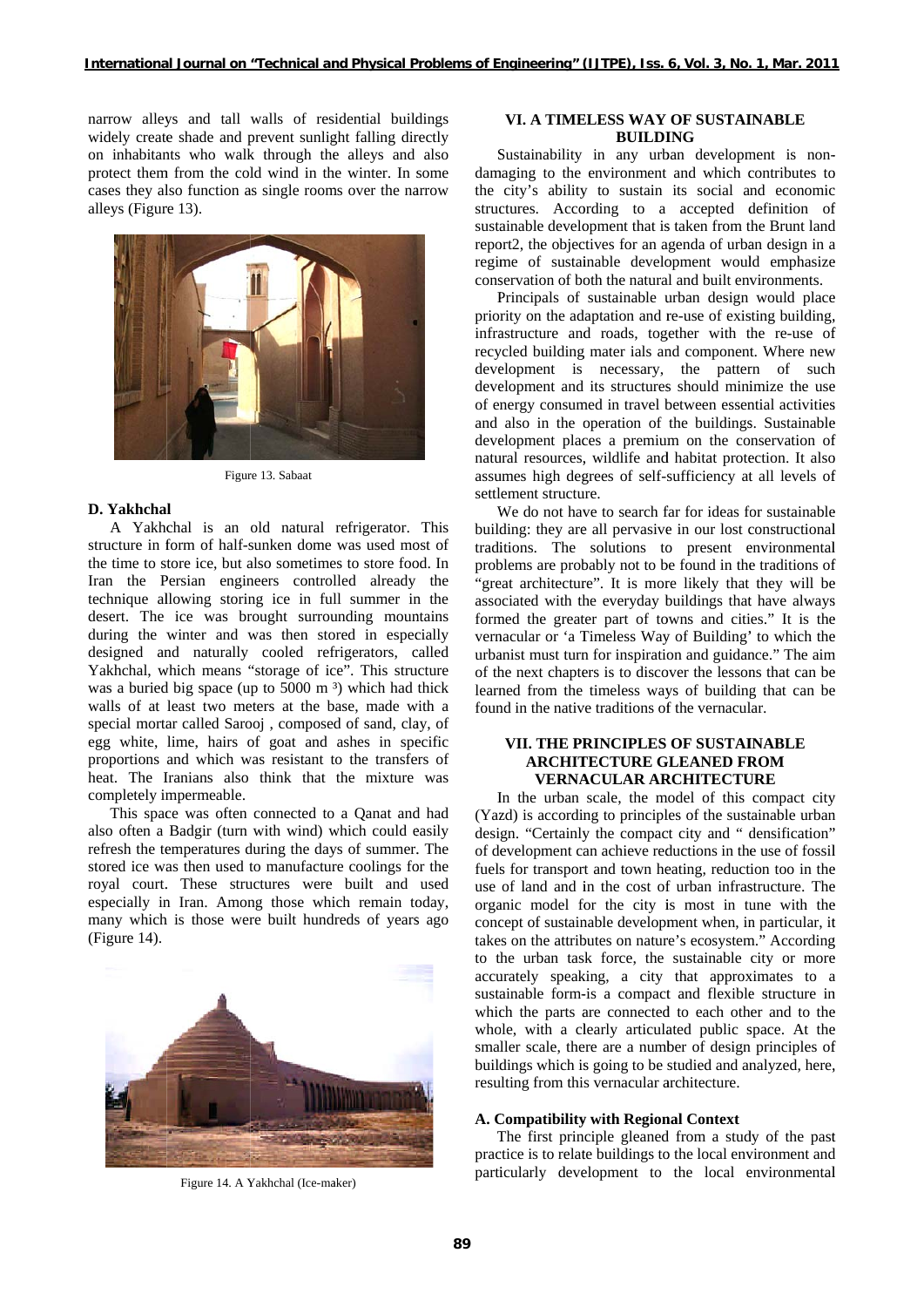narrow alleys and tall walls of residential buildings widely create shade and prevent sunlight falling directly on inhabitants who walk through the alleys and also protect them from the cold wind in the winter. In some cases they also function as single rooms over the narrow alleys (Figure 13).



Figure 13. Sabaat

#### **D. Yakhchal**

A Yakhchal is an old natural refrigerator. This structure in form of half-sunken dome was used most of the time to store ice, but also sometimes to store food. In Iran the Persian engineers controlled already the technique allowing storing ice in full summer in the desert. The ice was brought surrounding mountains during the winter and was then stored in especially designed an Yakhchal, w was a buried big space (up to 5000 m<sup>3</sup>) which had thick walls of at least two meters at the base, made with a special mortar called Sarooj, composed of sand, clay, of egg white, lime, hairs of goat and ashes in specific proportions and which was resistant to the transfers of heat. The Iranians also think that the mixture was completely impermeable. nd naturally which means " cooled ref "storage of ic frigerators, c ce". This stru called ucture

This space was often connected to a Qanat and had also often a Badgir (turn with wind) which could easily refresh the temperatures during the days of summer. The stored ice was then used to manufacture coolings for the royal court. These structures were built and used especially in Iran. Among those which remain today, many which is those were built hundreds of years ago (Figure 14).



Figure 14. A Yakhchal (Ice-maker)

### **VI. A TIMELESS WAY OF SUSTAINABLE BUILDI ING**

Sustainability in any urban development is nondamaging to the environment and which contributes to the city's ability to sustain its social and economic structures. According to a accepted definition of sustainable development that is taken from the Brunt land report2, the objectives for an agenda of urban design in a regime of sustainable development would emphasize conservation of both the natural and built environments.

Principals of sustainable urban design would place priority on the adaptation and re-use of existing building, infrastructure and roads, together with the re-use of recycled building mater ials and component. Where new development is necessary, the pattern of such development and its structures should minimize the use of energy consumed in travel between essential activities and also in the operation of the buildings. Sustainable development places a premium on the conservation of natural resources, wildlife and habitat protection. It also assumes high degrees of self-sufficiency at all levels of settlement structure.

We do not have to search far for ideas for sustainable building: they are all pervasive in our lost constructional traditions. The solutions to present environmental problems are probably not to be found in the traditions of "great architecture". It is more likely that they will be associated with the everyday buildings that have always formed the greater part of towns and cities." It is the vernacular or 'a Timeless Way of Building' to which the urbanist must turn for inspiration and guidance." The aim of the next chapters is to discover the lessons that can be learned from the timeless ways of building that can be found in the native traditions of the vernacular.

# **VII. THE PRINCIPLES OF SUSTAINABLE ARCHITECTURE GLEANED FROM VERNACULAR ARCHITECTURE**

In the urban scale, the model of this compact city (Yazd) is according to principles of the sustainable urban design. "Certainly the compact city and " densification" of development can achieve reductions in the use of fossil fuels for transport and town heating, reduction too in the use of land and in the cost of urban infrastructure. The organic model for the city is most in tune with the concept of sustainable development when, in particular, it takes on the attributes on nature's ecosystem." According to the urban task force, the sustainable city or more accurately speaking, a city that approximates to a sustainable form-is a compact and flexible structure in which the parts are connected to each other and to the whole, with a clearly articulated public space. At the smaller scale, there are a number of design principles of buildings which is going to be studied and analyzed, here, resulting from this vernacular architecture. ocfdee,fwhesefofellfeseemeeyn"leeetgeneef,tdl

#### A. Compatibility with Regional Context

The first principle gleaned from a study of the past practice is to relate buildings to the local environment and particularly development to the local environmental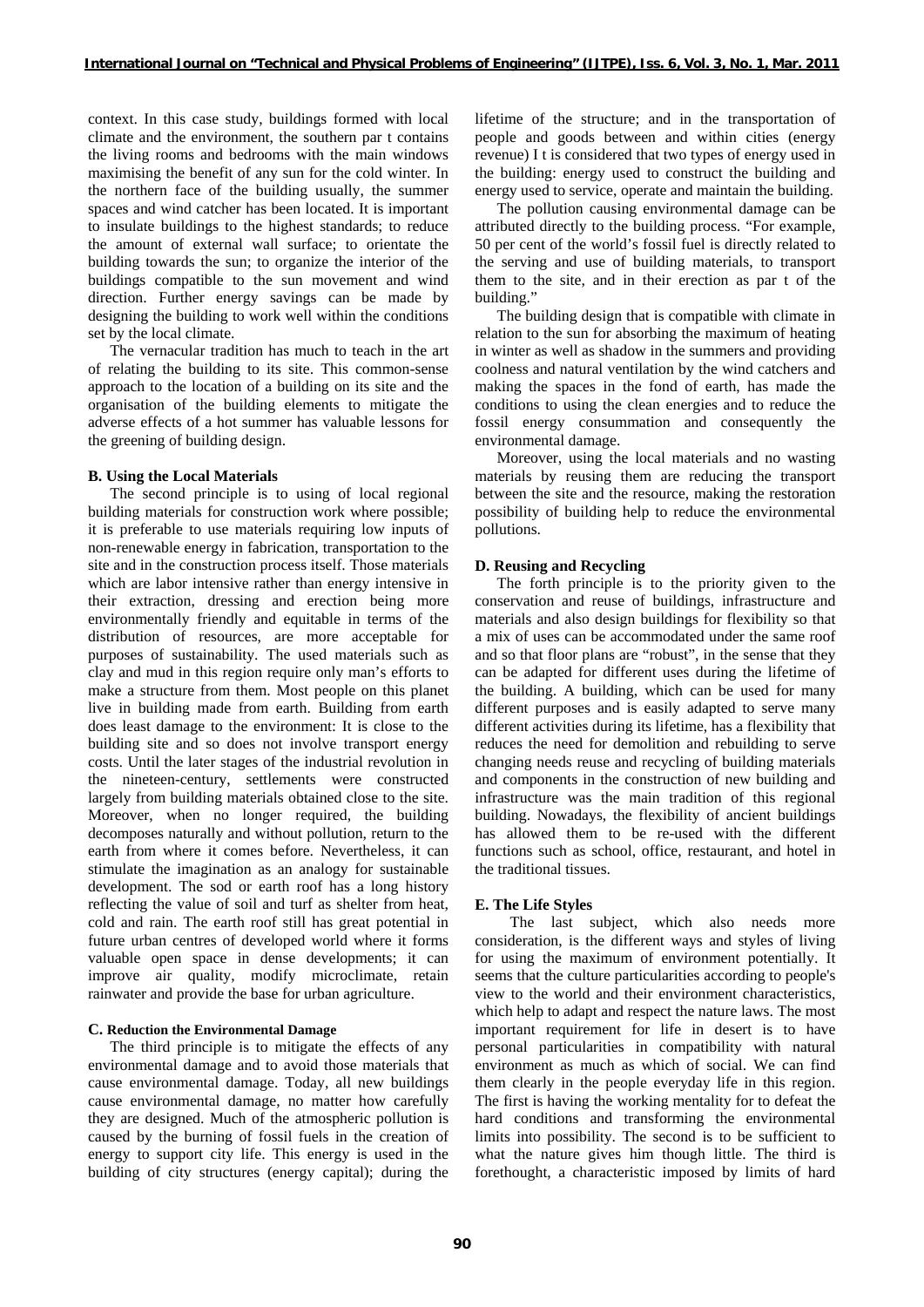context. In this case study, buildings formed with local climate and the environment, the southern par t contains the living rooms and bedrooms with the main windows maximising the benefit of any sun for the cold winter. In the northern face of the building usually, the summer spaces and wind catcher has been located. It is important to insulate buildings to the highest standards; to reduce the amount of external wall surface; to orientate the building towards the sun; to organize the interior of the buildings compatible to the sun movement and wind direction. Further energy savings can be made by designing the building to work well within the conditions set by the local climate.

The vernacular tradition has much to teach in the art of relating the building to its site. This common-sense approach to the location of a building on its site and the organisation of the building elements to mitigate the adverse effects of a hot summer has valuable lessons for the greening of building design.

### **B. Using the Local Materials**

The second principle is to using of local regional building materials for construction work where possible; it is preferable to use materials requiring low inputs of non-renewable energy in fabrication, transportation to the site and in the construction process itself. Those materials which are labor intensive rather than energy intensive in their extraction, dressing and erection being more environmentally friendly and equitable in terms of the distribution of resources, are more acceptable for purposes of sustainability. The used materials such as clay and mud in this region require only man's efforts to make a structure from them. Most people on this planet live in building made from earth. Building from earth does least damage to the environment: It is close to the building site and so does not involve transport energy costs. Until the later stages of the industrial revolution in the nineteen-century, settlements were constructed largely from building materials obtained close to the site. Moreover, when no longer required, the building decomposes naturally and without pollution, return to the earth from where it comes before. Nevertheless, it can stimulate the imagination as an analogy for sustainable development. The sod or earth roof has a long history reflecting the value of soil and turf as shelter from heat, cold and rain. The earth roof still has great potential in future urban centres of developed world where it forms valuable open space in dense developments; it can improve air quality, modify microclimate, retain rainwater and provide the base for urban agriculture.

### **C. Reduction the Environmental Damage**

The third principle is to mitigate the effects of any environmental damage and to avoid those materials that cause environmental damage. Today, all new buildings cause environmental damage, no matter how carefully they are designed. Much of the atmospheric pollution is caused by the burning of fossil fuels in the creation of energy to support city life. This energy is used in the building of city structures (energy capital); during the

lifetime of the structure; and in the transportation of people and goods between and within cities (energy revenue) I t is considered that two types of energy used in the building: energy used to construct the building and energy used to service, operate and maintain the building.

The pollution causing environmental damage can be attributed directly to the building process. "For example, 50 per cent of the world's fossil fuel is directly related to the serving and use of building materials, to transport them to the site, and in their erection as par t of the building."

The building design that is compatible with climate in relation to the sun for absorbing the maximum of heating in winter as well as shadow in the summers and providing coolness and natural ventilation by the wind catchers and making the spaces in the fond of earth, has made the conditions to using the clean energies and to reduce the fossil energy consummation and consequently the environmental damage.

Moreover, using the local materials and no wasting materials by reusing them are reducing the transport between the site and the resource, making the restoration possibility of building help to reduce the environmental pollutions.

### **D. Reusing and Recycling**

The forth principle is to the priority given to the conservation and reuse of buildings, infrastructure and materials and also design buildings for flexibility so that a mix of uses can be accommodated under the same roof and so that floor plans are "robust", in the sense that they can be adapted for different uses during the lifetime of the building. A building, which can be used for many different purposes and is easily adapted to serve many different activities during its lifetime, has a flexibility that reduces the need for demolition and rebuilding to serve changing needs reuse and recycling of building materials and components in the construction of new building and infrastructure was the main tradition of this regional building. Nowadays, the flexibility of ancient buildings has allowed them to be re-used with the different functions such as school, office, restaurant, and hotel in the traditional tissues.

#### **E. The Life Styles**

The last subject, which also needs more consideration, is the different ways and styles of living for using the maximum of environment potentially. It seems that the culture particularities according to people's view to the world and their environment characteristics, which help to adapt and respect the nature laws. The most important requirement for life in desert is to have personal particularities in compatibility with natural environment as much as which of social. We can find them clearly in the people everyday life in this region. The first is having the working mentality for to defeat the hard conditions and transforming the environmental limits into possibility. The second is to be sufficient to what the nature gives him though little. The third is forethought, a characteristic imposed by limits of hard